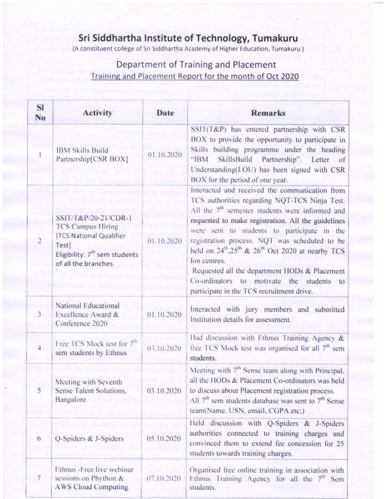## Sri Siddhartha Institute of Technology, Tumakuru

## Department of Training and Placement Training and Placement Report for the month of Oct 2020

| <b>IBM Skills Build</b><br>01.10.2020<br>Partnership[CSR BOX]<br>"IBM<br>BOX for the period of one year.<br>SSIT/T&P/20-21/CDR-1<br><b>TCS Campus Hiring</b><br>[TCS National Qualifier<br>$\overline{2}$<br>01.10.2020<br>Test]<br>Eligibility: 7 <sup>th</sup> sem students<br>Ion centres.<br>of all the branches.<br>participate in the TCS recruitment drive.<br>National Educational | Skills building programme under the heading<br>SkillsBuild Partnership". Letter of<br>Understanding(LOU) has been signed with CSR<br>Interacted and received the communication from<br>TCS authorities regarding NQT-TCS Ninja Test.<br>All the 7 <sup>th</sup> semester students were informed and<br>requested to make registration. All the guidelines<br>were sent to students to participate in the<br>registration process. NQT was scheduled to be<br>held on $24^{\text{th}}$ , $25^{\text{th}}$ & $26^{\text{th}}$ Oct 2020 at nearby TCS<br>Requested all the department HODs & Placement<br>Co-ordinators to motivate the students to<br>Interacted with jury members and submitted |
|--------------------------------------------------------------------------------------------------------------------------------------------------------------------------------------------------------------------------------------------------------------------------------------------------------------------------------------------------------------------------------------------|------------------------------------------------------------------------------------------------------------------------------------------------------------------------------------------------------------------------------------------------------------------------------------------------------------------------------------------------------------------------------------------------------------------------------------------------------------------------------------------------------------------------------------------------------------------------------------------------------------------------------------------------------------------------------------------------|
|                                                                                                                                                                                                                                                                                                                                                                                            |                                                                                                                                                                                                                                                                                                                                                                                                                                                                                                                                                                                                                                                                                                |
|                                                                                                                                                                                                                                                                                                                                                                                            |                                                                                                                                                                                                                                                                                                                                                                                                                                                                                                                                                                                                                                                                                                |
|                                                                                                                                                                                                                                                                                                                                                                                            |                                                                                                                                                                                                                                                                                                                                                                                                                                                                                                                                                                                                                                                                                                |
|                                                                                                                                                                                                                                                                                                                                                                                            |                                                                                                                                                                                                                                                                                                                                                                                                                                                                                                                                                                                                                                                                                                |
| 3<br>Institution details for assessment.<br>Conference 2020                                                                                                                                                                                                                                                                                                                                | 01.10.2020<br>Excellence Award &                                                                                                                                                                                                                                                                                                                                                                                                                                                                                                                                                                                                                                                               |
| Free TCS Mock test for 7 <sup>th</sup><br>$\overline{4}$<br>03.10.2020<br>sem students by Ethnus<br>students.                                                                                                                                                                                                                                                                              | free TCS Mock test was organised for all 7 <sup>th</sup> sem                                                                                                                                                                                                                                                                                                                                                                                                                                                                                                                                                                                                                                   |
| Meeting with Seventh<br>$\overline{5}$<br>to discuss about Placement registration process.<br>Sense Talent Solutions,<br>03.10.2020<br>Bangalore<br>team(Name, USN, email, CGPA etc;)                                                                                                                                                                                                      |                                                                                                                                                                                                                                                                                                                                                                                                                                                                                                                                                                                                                                                                                                |
| Q-Spiders & J-Spiders<br>05.10.2020<br>6<br>students towards training charges.                                                                                                                                                                                                                                                                                                             | Meeting with 7 <sup>th</sup> Sense team along with Principal,<br>all the HODs & Placement Co-ordinators was held<br>All 7 <sup>th</sup> sem students database was sent to 7 <sup>th</sup> Sense                                                                                                                                                                                                                                                                                                                                                                                                                                                                                                |
| Ethnus -Free live webinar                                                                                                                                                                                                                                                                                                                                                                  | Held discussion with Q-Spiders & J-Spiders<br>authorities connected to training charges and<br>convinced them to extend fee concession for 25                                                                                                                                                                                                                                                                                                                                                                                                                                                                                                                                                  |
| $\overline{7}$<br><b>AWS Cloud Computing</b><br>students.                                                                                                                                                                                                                                                                                                                                  | Organised free online training in association with<br>sessions on Phython &<br>07.10.2020<br>Ethnus Training Agency for all the 7 <sup>th</sup> Sem                                                                                                                                                                                                                                                                                                                                                                                                                                                                                                                                            |
|                                                                                                                                                                                                                                                                                                                                                                                            | Had discussion with Ethnus Training Agency &                                                                                                                                                                                                                                                                                                                                                                                                                                                                                                                                                                                                                                                   |
|                                                                                                                                                                                                                                                                                                                                                                                            |                                                                                                                                                                                                                                                                                                                                                                                                                                                                                                                                                                                                                                                                                                |
|                                                                                                                                                                                                                                                                                                                                                                                            |                                                                                                                                                                                                                                                                                                                                                                                                                                                                                                                                                                                                                                                                                                |
|                                                                                                                                                                                                                                                                                                                                                                                            |                                                                                                                                                                                                                                                                                                                                                                                                                                                                                                                                                                                                                                                                                                |
|                                                                                                                                                                                                                                                                                                                                                                                            |                                                                                                                                                                                                                                                                                                                                                                                                                                                                                                                                                                                                                                                                                                |
|                                                                                                                                                                                                                                                                                                                                                                                            |                                                                                                                                                                                                                                                                                                                                                                                                                                                                                                                                                                                                                                                                                                |
|                                                                                                                                                                                                                                                                                                                                                                                            |                                                                                                                                                                                                                                                                                                                                                                                                                                                                                                                                                                                                                                                                                                |
|                                                                                                                                                                                                                                                                                                                                                                                            |                                                                                                                                                                                                                                                                                                                                                                                                                                                                                                                                                                                                                                                                                                |
|                                                                                                                                                                                                                                                                                                                                                                                            |                                                                                                                                                                                                                                                                                                                                                                                                                                                                                                                                                                                                                                                                                                |
|                                                                                                                                                                                                                                                                                                                                                                                            |                                                                                                                                                                                                                                                                                                                                                                                                                                                                                                                                                                                                                                                                                                |
|                                                                                                                                                                                                                                                                                                                                                                                            |                                                                                                                                                                                                                                                                                                                                                                                                                                                                                                                                                                                                                                                                                                |
|                                                                                                                                                                                                                                                                                                                                                                                            |                                                                                                                                                                                                                                                                                                                                                                                                                                                                                                                                                                                                                                                                                                |
|                                                                                                                                                                                                                                                                                                                                                                                            |                                                                                                                                                                                                                                                                                                                                                                                                                                                                                                                                                                                                                                                                                                |
|                                                                                                                                                                                                                                                                                                                                                                                            |                                                                                                                                                                                                                                                                                                                                                                                                                                                                                                                                                                                                                                                                                                |
|                                                                                                                                                                                                                                                                                                                                                                                            |                                                                                                                                                                                                                                                                                                                                                                                                                                                                                                                                                                                                                                                                                                |
|                                                                                                                                                                                                                                                                                                                                                                                            |                                                                                                                                                                                                                                                                                                                                                                                                                                                                                                                                                                                                                                                                                                |
|                                                                                                                                                                                                                                                                                                                                                                                            |                                                                                                                                                                                                                                                                                                                                                                                                                                                                                                                                                                                                                                                                                                |
|                                                                                                                                                                                                                                                                                                                                                                                            |                                                                                                                                                                                                                                                                                                                                                                                                                                                                                                                                                                                                                                                                                                |
|                                                                                                                                                                                                                                                                                                                                                                                            |                                                                                                                                                                                                                                                                                                                                                                                                                                                                                                                                                                                                                                                                                                |
|                                                                                                                                                                                                                                                                                                                                                                                            |                                                                                                                                                                                                                                                                                                                                                                                                                                                                                                                                                                                                                                                                                                |
|                                                                                                                                                                                                                                                                                                                                                                                            |                                                                                                                                                                                                                                                                                                                                                                                                                                                                                                                                                                                                                                                                                                |
|                                                                                                                                                                                                                                                                                                                                                                                            |                                                                                                                                                                                                                                                                                                                                                                                                                                                                                                                                                                                                                                                                                                |
|                                                                                                                                                                                                                                                                                                                                                                                            |                                                                                                                                                                                                                                                                                                                                                                                                                                                                                                                                                                                                                                                                                                |
|                                                                                                                                                                                                                                                                                                                                                                                            |                                                                                                                                                                                                                                                                                                                                                                                                                                                                                                                                                                                                                                                                                                |
|                                                                                                                                                                                                                                                                                                                                                                                            |                                                                                                                                                                                                                                                                                                                                                                                                                                                                                                                                                                                                                                                                                                |
|                                                                                                                                                                                                                                                                                                                                                                                            |                                                                                                                                                                                                                                                                                                                                                                                                                                                                                                                                                                                                                                                                                                |
|                                                                                                                                                                                                                                                                                                                                                                                            |                                                                                                                                                                                                                                                                                                                                                                                                                                                                                                                                                                                                                                                                                                |
|                                                                                                                                                                                                                                                                                                                                                                                            |                                                                                                                                                                                                                                                                                                                                                                                                                                                                                                                                                                                                                                                                                                |
|                                                                                                                                                                                                                                                                                                                                                                                            |                                                                                                                                                                                                                                                                                                                                                                                                                                                                                                                                                                                                                                                                                                |
|                                                                                                                                                                                                                                                                                                                                                                                            |                                                                                                                                                                                                                                                                                                                                                                                                                                                                                                                                                                                                                                                                                                |
|                                                                                                                                                                                                                                                                                                                                                                                            |                                                                                                                                                                                                                                                                                                                                                                                                                                                                                                                                                                                                                                                                                                |
|                                                                                                                                                                                                                                                                                                                                                                                            |                                                                                                                                                                                                                                                                                                                                                                                                                                                                                                                                                                                                                                                                                                |
|                                                                                                                                                                                                                                                                                                                                                                                            |                                                                                                                                                                                                                                                                                                                                                                                                                                                                                                                                                                                                                                                                                                |
|                                                                                                                                                                                                                                                                                                                                                                                            |                                                                                                                                                                                                                                                                                                                                                                                                                                                                                                                                                                                                                                                                                                |
|                                                                                                                                                                                                                                                                                                                                                                                            |                                                                                                                                                                                                                                                                                                                                                                                                                                                                                                                                                                                                                                                                                                |
|                                                                                                                                                                                                                                                                                                                                                                                            |                                                                                                                                                                                                                                                                                                                                                                                                                                                                                                                                                                                                                                                                                                |
|                                                                                                                                                                                                                                                                                                                                                                                            |                                                                                                                                                                                                                                                                                                                                                                                                                                                                                                                                                                                                                                                                                                |
|                                                                                                                                                                                                                                                                                                                                                                                            |                                                                                                                                                                                                                                                                                                                                                                                                                                                                                                                                                                                                                                                                                                |
|                                                                                                                                                                                                                                                                                                                                                                                            |                                                                                                                                                                                                                                                                                                                                                                                                                                                                                                                                                                                                                                                                                                |
|                                                                                                                                                                                                                                                                                                                                                                                            |                                                                                                                                                                                                                                                                                                                                                                                                                                                                                                                                                                                                                                                                                                |
|                                                                                                                                                                                                                                                                                                                                                                                            |                                                                                                                                                                                                                                                                                                                                                                                                                                                                                                                                                                                                                                                                                                |
|                                                                                                                                                                                                                                                                                                                                                                                            |                                                                                                                                                                                                                                                                                                                                                                                                                                                                                                                                                                                                                                                                                                |
|                                                                                                                                                                                                                                                                                                                                                                                            |                                                                                                                                                                                                                                                                                                                                                                                                                                                                                                                                                                                                                                                                                                |
|                                                                                                                                                                                                                                                                                                                                                                                            |                                                                                                                                                                                                                                                                                                                                                                                                                                                                                                                                                                                                                                                                                                |
|                                                                                                                                                                                                                                                                                                                                                                                            |                                                                                                                                                                                                                                                                                                                                                                                                                                                                                                                                                                                                                                                                                                |
|                                                                                                                                                                                                                                                                                                                                                                                            |                                                                                                                                                                                                                                                                                                                                                                                                                                                                                                                                                                                                                                                                                                |
|                                                                                                                                                                                                                                                                                                                                                                                            |                                                                                                                                                                                                                                                                                                                                                                                                                                                                                                                                                                                                                                                                                                |
|                                                                                                                                                                                                                                                                                                                                                                                            |                                                                                                                                                                                                                                                                                                                                                                                                                                                                                                                                                                                                                                                                                                |
|                                                                                                                                                                                                                                                                                                                                                                                            |                                                                                                                                                                                                                                                                                                                                                                                                                                                                                                                                                                                                                                                                                                |
|                                                                                                                                                                                                                                                                                                                                                                                            |                                                                                                                                                                                                                                                                                                                                                                                                                                                                                                                                                                                                                                                                                                |
|                                                                                                                                                                                                                                                                                                                                                                                            |                                                                                                                                                                                                                                                                                                                                                                                                                                                                                                                                                                                                                                                                                                |
|                                                                                                                                                                                                                                                                                                                                                                                            |                                                                                                                                                                                                                                                                                                                                                                                                                                                                                                                                                                                                                                                                                                |
|                                                                                                                                                                                                                                                                                                                                                                                            |                                                                                                                                                                                                                                                                                                                                                                                                                                                                                                                                                                                                                                                                                                |
|                                                                                                                                                                                                                                                                                                                                                                                            |                                                                                                                                                                                                                                                                                                                                                                                                                                                                                                                                                                                                                                                                                                |
|                                                                                                                                                                                                                                                                                                                                                                                            |                                                                                                                                                                                                                                                                                                                                                                                                                                                                                                                                                                                                                                                                                                |
|                                                                                                                                                                                                                                                                                                                                                                                            |                                                                                                                                                                                                                                                                                                                                                                                                                                                                                                                                                                                                                                                                                                |
|                                                                                                                                                                                                                                                                                                                                                                                            |                                                                                                                                                                                                                                                                                                                                                                                                                                                                                                                                                                                                                                                                                                |
|                                                                                                                                                                                                                                                                                                                                                                                            |                                                                                                                                                                                                                                                                                                                                                                                                                                                                                                                                                                                                                                                                                                |
|                                                                                                                                                                                                                                                                                                                                                                                            |                                                                                                                                                                                                                                                                                                                                                                                                                                                                                                                                                                                                                                                                                                |
|                                                                                                                                                                                                                                                                                                                                                                                            |                                                                                                                                                                                                                                                                                                                                                                                                                                                                                                                                                                                                                                                                                                |
|                                                                                                                                                                                                                                                                                                                                                                                            |                                                                                                                                                                                                                                                                                                                                                                                                                                                                                                                                                                                                                                                                                                |
|                                                                                                                                                                                                                                                                                                                                                                                            |                                                                                                                                                                                                                                                                                                                                                                                                                                                                                                                                                                                                                                                                                                |
|                                                                                                                                                                                                                                                                                                                                                                                            |                                                                                                                                                                                                                                                                                                                                                                                                                                                                                                                                                                                                                                                                                                |
|                                                                                                                                                                                                                                                                                                                                                                                            |                                                                                                                                                                                                                                                                                                                                                                                                                                                                                                                                                                                                                                                                                                |
|                                                                                                                                                                                                                                                                                                                                                                                            |                                                                                                                                                                                                                                                                                                                                                                                                                                                                                                                                                                                                                                                                                                |
|                                                                                                                                                                                                                                                                                                                                                                                            |                                                                                                                                                                                                                                                                                                                                                                                                                                                                                                                                                                                                                                                                                                |
|                                                                                                                                                                                                                                                                                                                                                                                            |                                                                                                                                                                                                                                                                                                                                                                                                                                                                                                                                                                                                                                                                                                |
|                                                                                                                                                                                                                                                                                                                                                                                            |                                                                                                                                                                                                                                                                                                                                                                                                                                                                                                                                                                                                                                                                                                |
|                                                                                                                                                                                                                                                                                                                                                                                            |                                                                                                                                                                                                                                                                                                                                                                                                                                                                                                                                                                                                                                                                                                |
|                                                                                                                                                                                                                                                                                                                                                                                            |                                                                                                                                                                                                                                                                                                                                                                                                                                                                                                                                                                                                                                                                                                |
|                                                                                                                                                                                                                                                                                                                                                                                            |                                                                                                                                                                                                                                                                                                                                                                                                                                                                                                                                                                                                                                                                                                |
|                                                                                                                                                                                                                                                                                                                                                                                            |                                                                                                                                                                                                                                                                                                                                                                                                                                                                                                                                                                                                                                                                                                |
|                                                                                                                                                                                                                                                                                                                                                                                            |                                                                                                                                                                                                                                                                                                                                                                                                                                                                                                                                                                                                                                                                                                |
|                                                                                                                                                                                                                                                                                                                                                                                            |                                                                                                                                                                                                                                                                                                                                                                                                                                                                                                                                                                                                                                                                                                |
|                                                                                                                                                                                                                                                                                                                                                                                            |                                                                                                                                                                                                                                                                                                                                                                                                                                                                                                                                                                                                                                                                                                |
|                                                                                                                                                                                                                                                                                                                                                                                            |                                                                                                                                                                                                                                                                                                                                                                                                                                                                                                                                                                                                                                                                                                |
|                                                                                                                                                                                                                                                                                                                                                                                            |                                                                                                                                                                                                                                                                                                                                                                                                                                                                                                                                                                                                                                                                                                |
|                                                                                                                                                                                                                                                                                                                                                                                            |                                                                                                                                                                                                                                                                                                                                                                                                                                                                                                                                                                                                                                                                                                |
|                                                                                                                                                                                                                                                                                                                                                                                            |                                                                                                                                                                                                                                                                                                                                                                                                                                                                                                                                                                                                                                                                                                |
|                                                                                                                                                                                                                                                                                                                                                                                            |                                                                                                                                                                                                                                                                                                                                                                                                                                                                                                                                                                                                                                                                                                |
|                                                                                                                                                                                                                                                                                                                                                                                            |                                                                                                                                                                                                                                                                                                                                                                                                                                                                                                                                                                                                                                                                                                |
|                                                                                                                                                                                                                                                                                                                                                                                            |                                                                                                                                                                                                                                                                                                                                                                                                                                                                                                                                                                                                                                                                                                |
|                                                                                                                                                                                                                                                                                                                                                                                            |                                                                                                                                                                                                                                                                                                                                                                                                                                                                                                                                                                                                                                                                                                |
|                                                                                                                                                                                                                                                                                                                                                                                            |                                                                                                                                                                                                                                                                                                                                                                                                                                                                                                                                                                                                                                                                                                |
|                                                                                                                                                                                                                                                                                                                                                                                            |                                                                                                                                                                                                                                                                                                                                                                                                                                                                                                                                                                                                                                                                                                |
|                                                                                                                                                                                                                                                                                                                                                                                            |                                                                                                                                                                                                                                                                                                                                                                                                                                                                                                                                                                                                                                                                                                |
|                                                                                                                                                                                                                                                                                                                                                                                            |                                                                                                                                                                                                                                                                                                                                                                                                                                                                                                                                                                                                                                                                                                |
|                                                                                                                                                                                                                                                                                                                                                                                            |                                                                                                                                                                                                                                                                                                                                                                                                                                                                                                                                                                                                                                                                                                |
|                                                                                                                                                                                                                                                                                                                                                                                            |                                                                                                                                                                                                                                                                                                                                                                                                                                                                                                                                                                                                                                                                                                |
|                                                                                                                                                                                                                                                                                                                                                                                            |                                                                                                                                                                                                                                                                                                                                                                                                                                                                                                                                                                                                                                                                                                |
|                                                                                                                                                                                                                                                                                                                                                                                            |                                                                                                                                                                                                                                                                                                                                                                                                                                                                                                                                                                                                                                                                                                |
|                                                                                                                                                                                                                                                                                                                                                                                            |                                                                                                                                                                                                                                                                                                                                                                                                                                                                                                                                                                                                                                                                                                |
|                                                                                                                                                                                                                                                                                                                                                                                            |                                                                                                                                                                                                                                                                                                                                                                                                                                                                                                                                                                                                                                                                                                |
|                                                                                                                                                                                                                                                                                                                                                                                            |                                                                                                                                                                                                                                                                                                                                                                                                                                                                                                                                                                                                                                                                                                |
|                                                                                                                                                                                                                                                                                                                                                                                            |                                                                                                                                                                                                                                                                                                                                                                                                                                                                                                                                                                                                                                                                                                |
|                                                                                                                                                                                                                                                                                                                                                                                            |                                                                                                                                                                                                                                                                                                                                                                                                                                                                                                                                                                                                                                                                                                |
|                                                                                                                                                                                                                                                                                                                                                                                            |                                                                                                                                                                                                                                                                                                                                                                                                                                                                                                                                                                                                                                                                                                |
|                                                                                                                                                                                                                                                                                                                                                                                            |                                                                                                                                                                                                                                                                                                                                                                                                                                                                                                                                                                                                                                                                                                |
|                                                                                                                                                                                                                                                                                                                                                                                            |                                                                                                                                                                                                                                                                                                                                                                                                                                                                                                                                                                                                                                                                                                |
|                                                                                                                                                                                                                                                                                                                                                                                            |                                                                                                                                                                                                                                                                                                                                                                                                                                                                                                                                                                                                                                                                                                |
|                                                                                                                                                                                                                                                                                                                                                                                            |                                                                                                                                                                                                                                                                                                                                                                                                                                                                                                                                                                                                                                                                                                |
|                                                                                                                                                                                                                                                                                                                                                                                            |                                                                                                                                                                                                                                                                                                                                                                                                                                                                                                                                                                                                                                                                                                |
|                                                                                                                                                                                                                                                                                                                                                                                            |                                                                                                                                                                                                                                                                                                                                                                                                                                                                                                                                                                                                                                                                                                |
|                                                                                                                                                                                                                                                                                                                                                                                            |                                                                                                                                                                                                                                                                                                                                                                                                                                                                                                                                                                                                                                                                                                |
|                                                                                                                                                                                                                                                                                                                                                                                            |                                                                                                                                                                                                                                                                                                                                                                                                                                                                                                                                                                                                                                                                                                |
|                                                                                                                                                                                                                                                                                                                                                                                            |                                                                                                                                                                                                                                                                                                                                                                                                                                                                                                                                                                                                                                                                                                |
|                                                                                                                                                                                                                                                                                                                                                                                            |                                                                                                                                                                                                                                                                                                                                                                                                                                                                                                                                                                                                                                                                                                |
|                                                                                                                                                                                                                                                                                                                                                                                            |                                                                                                                                                                                                                                                                                                                                                                                                                                                                                                                                                                                                                                                                                                |
|                                                                                                                                                                                                                                                                                                                                                                                            |                                                                                                                                                                                                                                                                                                                                                                                                                                                                                                                                                                                                                                                                                                |
|                                                                                                                                                                                                                                                                                                                                                                                            |                                                                                                                                                                                                                                                                                                                                                                                                                                                                                                                                                                                                                                                                                                |
|                                                                                                                                                                                                                                                                                                                                                                                            |                                                                                                                                                                                                                                                                                                                                                                                                                                                                                                                                                                                                                                                                                                |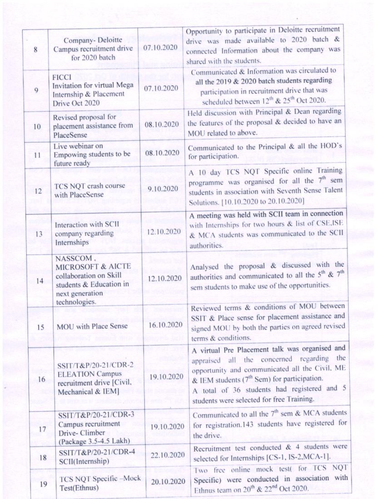| Opportunity to participate in Deloitte recruitment<br>drive was made available to 2020 batch &<br>Company- Deloitte<br>07.10.2020<br>Campus recruitment drive<br>8<br>connected Information about the company was<br>for 2020 batch<br>shared with the students.<br>Communicated & Information was circulated to<br><b>FICCI</b><br>all the 2019 & 2020 batch students regarding<br>Invitation for virtual Mega<br>07.10.2020<br>9<br>participation in recruitment drive that was<br>Internship & Placement<br>scheduled between 12th & 25th Oct 2020.<br>Drive Oct 2020<br>Held discussion with Principal & Dean regarding<br>Revised proposal for<br>the features of the proposal & decided to have an<br>08.10.2020<br>placement assistance from<br>10<br>MOU related to above.<br>PlaceSense<br>Live webinar on<br>Communicated to the Principal & all the HOD's<br>08.10.2020<br>Empowing students to be<br>11<br>for participation.<br>future ready<br>A 10 day TCS NQT Specific online Training<br>programme was organised for all the 7 <sup>th</sup> sem<br>TCS NQT crash course<br>9.10.2020<br>students in association with Seventh Sense Talent<br>12<br>with PlaceSense<br>Solutions. [10.10.2020 to 20.10.2020]<br>A meeting was held with SCII team in connection<br>with Internships for two hours & list of CSE,ISE<br>Interaction with SCII<br>12.10.2020<br>& MCA students was communicated to the SCII<br>company regarding<br>13<br>Internships<br>authorities.<br>NASSCOM.<br>Analysed the proposal & discussed with the<br>MICROSOFT & AICTE<br>authorities and communicated to all the $5^{th}$ & $7^{th}$<br>collaboration on Skill<br>12.10.2020<br>14<br>students & Education in<br>sem students to make use of the opportunities.<br>next generation<br>technologies.<br>Reviewed terms & conditions of MOU between<br>SSIT & Place sense for placement assistance and<br>16.10.2020<br>signed MOU by both the parties on agreed revised<br>MOU with Place Sense<br>15<br>terms & conditions.<br>A virtual Pre Placement talk was organised and<br>appraised all the concerned regarding the<br>SSIT/T&P/20-21/CDR-2<br>opportunity and communicated all the Civil, ME<br><b>ELEATION Campus</b><br>19.10.2020<br>& IEM students (7 <sup>th</sup> Sem) for participation.<br>16<br>recruitment drive [Civil,<br>A total of 36 students had registered and 5<br>Mechanical & IEM]<br>students were selected for free Training.<br>Communicated to all the $7th$ sem & MCA students<br>SSIT/T&P/20-21/CDR-3<br>for registration.143 students have registered for<br>Campus recruitment<br>19.10.2020<br>17<br>Drive-Climber<br>the drive.<br>(Package 3.5-4.5 Lakh)<br>Recruitment test conducted & 4 students were<br>SSIT/T&P/20-21/CDR-4<br>22.10.2020<br>selected for Internships [CS-1, IS-2, MCA-1].<br>18<br>SCII(Internship)<br>Two free online mock test( for TCS NQT<br>Specific) were conducted in association with<br>TCS NQT Specific -Mock<br>20.10.2020<br>19<br>Test(Ethnus)<br>Ethnus team on 20 <sup>th</sup> & 22 <sup>nd</sup> Oct 2020. |  |  |  |
|----------------------------------------------------------------------------------------------------------------------------------------------------------------------------------------------------------------------------------------------------------------------------------------------------------------------------------------------------------------------------------------------------------------------------------------------------------------------------------------------------------------------------------------------------------------------------------------------------------------------------------------------------------------------------------------------------------------------------------------------------------------------------------------------------------------------------------------------------------------------------------------------------------------------------------------------------------------------------------------------------------------------------------------------------------------------------------------------------------------------------------------------------------------------------------------------------------------------------------------------------------------------------------------------------------------------------------------------------------------------------------------------------------------------------------------------------------------------------------------------------------------------------------------------------------------------------------------------------------------------------------------------------------------------------------------------------------------------------------------------------------------------------------------------------------------------------------------------------------------------------------------------------------------------------------------------------------------------------------------------------------------------------------------------------------------------------------------------------------------------------------------------------------------------------------------------------------------------------------------------------------------------------------------------------------------------------------------------------------------------------------------------------------------------------------------------------------------------------------------------------------------------------------------------------------------------------------------------------------------------------------------------------------------------------------------------------------------------------------------------------------------------------------------------------------------------------------------------------------------------------------------------------------------------------------------------------------------------------------------------------------------------------------------------------------------------------------------|--|--|--|
|                                                                                                                                                                                                                                                                                                                                                                                                                                                                                                                                                                                                                                                                                                                                                                                                                                                                                                                                                                                                                                                                                                                                                                                                                                                                                                                                                                                                                                                                                                                                                                                                                                                                                                                                                                                                                                                                                                                                                                                                                                                                                                                                                                                                                                                                                                                                                                                                                                                                                                                                                                                                                                                                                                                                                                                                                                                                                                                                                                                                                                                                                        |  |  |  |
|                                                                                                                                                                                                                                                                                                                                                                                                                                                                                                                                                                                                                                                                                                                                                                                                                                                                                                                                                                                                                                                                                                                                                                                                                                                                                                                                                                                                                                                                                                                                                                                                                                                                                                                                                                                                                                                                                                                                                                                                                                                                                                                                                                                                                                                                                                                                                                                                                                                                                                                                                                                                                                                                                                                                                                                                                                                                                                                                                                                                                                                                                        |  |  |  |
|                                                                                                                                                                                                                                                                                                                                                                                                                                                                                                                                                                                                                                                                                                                                                                                                                                                                                                                                                                                                                                                                                                                                                                                                                                                                                                                                                                                                                                                                                                                                                                                                                                                                                                                                                                                                                                                                                                                                                                                                                                                                                                                                                                                                                                                                                                                                                                                                                                                                                                                                                                                                                                                                                                                                                                                                                                                                                                                                                                                                                                                                                        |  |  |  |
|                                                                                                                                                                                                                                                                                                                                                                                                                                                                                                                                                                                                                                                                                                                                                                                                                                                                                                                                                                                                                                                                                                                                                                                                                                                                                                                                                                                                                                                                                                                                                                                                                                                                                                                                                                                                                                                                                                                                                                                                                                                                                                                                                                                                                                                                                                                                                                                                                                                                                                                                                                                                                                                                                                                                                                                                                                                                                                                                                                                                                                                                                        |  |  |  |
|                                                                                                                                                                                                                                                                                                                                                                                                                                                                                                                                                                                                                                                                                                                                                                                                                                                                                                                                                                                                                                                                                                                                                                                                                                                                                                                                                                                                                                                                                                                                                                                                                                                                                                                                                                                                                                                                                                                                                                                                                                                                                                                                                                                                                                                                                                                                                                                                                                                                                                                                                                                                                                                                                                                                                                                                                                                                                                                                                                                                                                                                                        |  |  |  |
|                                                                                                                                                                                                                                                                                                                                                                                                                                                                                                                                                                                                                                                                                                                                                                                                                                                                                                                                                                                                                                                                                                                                                                                                                                                                                                                                                                                                                                                                                                                                                                                                                                                                                                                                                                                                                                                                                                                                                                                                                                                                                                                                                                                                                                                                                                                                                                                                                                                                                                                                                                                                                                                                                                                                                                                                                                                                                                                                                                                                                                                                                        |  |  |  |
|                                                                                                                                                                                                                                                                                                                                                                                                                                                                                                                                                                                                                                                                                                                                                                                                                                                                                                                                                                                                                                                                                                                                                                                                                                                                                                                                                                                                                                                                                                                                                                                                                                                                                                                                                                                                                                                                                                                                                                                                                                                                                                                                                                                                                                                                                                                                                                                                                                                                                                                                                                                                                                                                                                                                                                                                                                                                                                                                                                                                                                                                                        |  |  |  |
|                                                                                                                                                                                                                                                                                                                                                                                                                                                                                                                                                                                                                                                                                                                                                                                                                                                                                                                                                                                                                                                                                                                                                                                                                                                                                                                                                                                                                                                                                                                                                                                                                                                                                                                                                                                                                                                                                                                                                                                                                                                                                                                                                                                                                                                                                                                                                                                                                                                                                                                                                                                                                                                                                                                                                                                                                                                                                                                                                                                                                                                                                        |  |  |  |
|                                                                                                                                                                                                                                                                                                                                                                                                                                                                                                                                                                                                                                                                                                                                                                                                                                                                                                                                                                                                                                                                                                                                                                                                                                                                                                                                                                                                                                                                                                                                                                                                                                                                                                                                                                                                                                                                                                                                                                                                                                                                                                                                                                                                                                                                                                                                                                                                                                                                                                                                                                                                                                                                                                                                                                                                                                                                                                                                                                                                                                                                                        |  |  |  |
|                                                                                                                                                                                                                                                                                                                                                                                                                                                                                                                                                                                                                                                                                                                                                                                                                                                                                                                                                                                                                                                                                                                                                                                                                                                                                                                                                                                                                                                                                                                                                                                                                                                                                                                                                                                                                                                                                                                                                                                                                                                                                                                                                                                                                                                                                                                                                                                                                                                                                                                                                                                                                                                                                                                                                                                                                                                                                                                                                                                                                                                                                        |  |  |  |
|                                                                                                                                                                                                                                                                                                                                                                                                                                                                                                                                                                                                                                                                                                                                                                                                                                                                                                                                                                                                                                                                                                                                                                                                                                                                                                                                                                                                                                                                                                                                                                                                                                                                                                                                                                                                                                                                                                                                                                                                                                                                                                                                                                                                                                                                                                                                                                                                                                                                                                                                                                                                                                                                                                                                                                                                                                                                                                                                                                                                                                                                                        |  |  |  |
|                                                                                                                                                                                                                                                                                                                                                                                                                                                                                                                                                                                                                                                                                                                                                                                                                                                                                                                                                                                                                                                                                                                                                                                                                                                                                                                                                                                                                                                                                                                                                                                                                                                                                                                                                                                                                                                                                                                                                                                                                                                                                                                                                                                                                                                                                                                                                                                                                                                                                                                                                                                                                                                                                                                                                                                                                                                                                                                                                                                                                                                                                        |  |  |  |
|                                                                                                                                                                                                                                                                                                                                                                                                                                                                                                                                                                                                                                                                                                                                                                                                                                                                                                                                                                                                                                                                                                                                                                                                                                                                                                                                                                                                                                                                                                                                                                                                                                                                                                                                                                                                                                                                                                                                                                                                                                                                                                                                                                                                                                                                                                                                                                                                                                                                                                                                                                                                                                                                                                                                                                                                                                                                                                                                                                                                                                                                                        |  |  |  |
|                                                                                                                                                                                                                                                                                                                                                                                                                                                                                                                                                                                                                                                                                                                                                                                                                                                                                                                                                                                                                                                                                                                                                                                                                                                                                                                                                                                                                                                                                                                                                                                                                                                                                                                                                                                                                                                                                                                                                                                                                                                                                                                                                                                                                                                                                                                                                                                                                                                                                                                                                                                                                                                                                                                                                                                                                                                                                                                                                                                                                                                                                        |  |  |  |
|                                                                                                                                                                                                                                                                                                                                                                                                                                                                                                                                                                                                                                                                                                                                                                                                                                                                                                                                                                                                                                                                                                                                                                                                                                                                                                                                                                                                                                                                                                                                                                                                                                                                                                                                                                                                                                                                                                                                                                                                                                                                                                                                                                                                                                                                                                                                                                                                                                                                                                                                                                                                                                                                                                                                                                                                                                                                                                                                                                                                                                                                                        |  |  |  |
|                                                                                                                                                                                                                                                                                                                                                                                                                                                                                                                                                                                                                                                                                                                                                                                                                                                                                                                                                                                                                                                                                                                                                                                                                                                                                                                                                                                                                                                                                                                                                                                                                                                                                                                                                                                                                                                                                                                                                                                                                                                                                                                                                                                                                                                                                                                                                                                                                                                                                                                                                                                                                                                                                                                                                                                                                                                                                                                                                                                                                                                                                        |  |  |  |
|                                                                                                                                                                                                                                                                                                                                                                                                                                                                                                                                                                                                                                                                                                                                                                                                                                                                                                                                                                                                                                                                                                                                                                                                                                                                                                                                                                                                                                                                                                                                                                                                                                                                                                                                                                                                                                                                                                                                                                                                                                                                                                                                                                                                                                                                                                                                                                                                                                                                                                                                                                                                                                                                                                                                                                                                                                                                                                                                                                                                                                                                                        |  |  |  |
|                                                                                                                                                                                                                                                                                                                                                                                                                                                                                                                                                                                                                                                                                                                                                                                                                                                                                                                                                                                                                                                                                                                                                                                                                                                                                                                                                                                                                                                                                                                                                                                                                                                                                                                                                                                                                                                                                                                                                                                                                                                                                                                                                                                                                                                                                                                                                                                                                                                                                                                                                                                                                                                                                                                                                                                                                                                                                                                                                                                                                                                                                        |  |  |  |
|                                                                                                                                                                                                                                                                                                                                                                                                                                                                                                                                                                                                                                                                                                                                                                                                                                                                                                                                                                                                                                                                                                                                                                                                                                                                                                                                                                                                                                                                                                                                                                                                                                                                                                                                                                                                                                                                                                                                                                                                                                                                                                                                                                                                                                                                                                                                                                                                                                                                                                                                                                                                                                                                                                                                                                                                                                                                                                                                                                                                                                                                                        |  |  |  |
|                                                                                                                                                                                                                                                                                                                                                                                                                                                                                                                                                                                                                                                                                                                                                                                                                                                                                                                                                                                                                                                                                                                                                                                                                                                                                                                                                                                                                                                                                                                                                                                                                                                                                                                                                                                                                                                                                                                                                                                                                                                                                                                                                                                                                                                                                                                                                                                                                                                                                                                                                                                                                                                                                                                                                                                                                                                                                                                                                                                                                                                                                        |  |  |  |
|                                                                                                                                                                                                                                                                                                                                                                                                                                                                                                                                                                                                                                                                                                                                                                                                                                                                                                                                                                                                                                                                                                                                                                                                                                                                                                                                                                                                                                                                                                                                                                                                                                                                                                                                                                                                                                                                                                                                                                                                                                                                                                                                                                                                                                                                                                                                                                                                                                                                                                                                                                                                                                                                                                                                                                                                                                                                                                                                                                                                                                                                                        |  |  |  |
|                                                                                                                                                                                                                                                                                                                                                                                                                                                                                                                                                                                                                                                                                                                                                                                                                                                                                                                                                                                                                                                                                                                                                                                                                                                                                                                                                                                                                                                                                                                                                                                                                                                                                                                                                                                                                                                                                                                                                                                                                                                                                                                                                                                                                                                                                                                                                                                                                                                                                                                                                                                                                                                                                                                                                                                                                                                                                                                                                                                                                                                                                        |  |  |  |
|                                                                                                                                                                                                                                                                                                                                                                                                                                                                                                                                                                                                                                                                                                                                                                                                                                                                                                                                                                                                                                                                                                                                                                                                                                                                                                                                                                                                                                                                                                                                                                                                                                                                                                                                                                                                                                                                                                                                                                                                                                                                                                                                                                                                                                                                                                                                                                                                                                                                                                                                                                                                                                                                                                                                                                                                                                                                                                                                                                                                                                                                                        |  |  |  |
|                                                                                                                                                                                                                                                                                                                                                                                                                                                                                                                                                                                                                                                                                                                                                                                                                                                                                                                                                                                                                                                                                                                                                                                                                                                                                                                                                                                                                                                                                                                                                                                                                                                                                                                                                                                                                                                                                                                                                                                                                                                                                                                                                                                                                                                                                                                                                                                                                                                                                                                                                                                                                                                                                                                                                                                                                                                                                                                                                                                                                                                                                        |  |  |  |
|                                                                                                                                                                                                                                                                                                                                                                                                                                                                                                                                                                                                                                                                                                                                                                                                                                                                                                                                                                                                                                                                                                                                                                                                                                                                                                                                                                                                                                                                                                                                                                                                                                                                                                                                                                                                                                                                                                                                                                                                                                                                                                                                                                                                                                                                                                                                                                                                                                                                                                                                                                                                                                                                                                                                                                                                                                                                                                                                                                                                                                                                                        |  |  |  |
|                                                                                                                                                                                                                                                                                                                                                                                                                                                                                                                                                                                                                                                                                                                                                                                                                                                                                                                                                                                                                                                                                                                                                                                                                                                                                                                                                                                                                                                                                                                                                                                                                                                                                                                                                                                                                                                                                                                                                                                                                                                                                                                                                                                                                                                                                                                                                                                                                                                                                                                                                                                                                                                                                                                                                                                                                                                                                                                                                                                                                                                                                        |  |  |  |
|                                                                                                                                                                                                                                                                                                                                                                                                                                                                                                                                                                                                                                                                                                                                                                                                                                                                                                                                                                                                                                                                                                                                                                                                                                                                                                                                                                                                                                                                                                                                                                                                                                                                                                                                                                                                                                                                                                                                                                                                                                                                                                                                                                                                                                                                                                                                                                                                                                                                                                                                                                                                                                                                                                                                                                                                                                                                                                                                                                                                                                                                                        |  |  |  |
|                                                                                                                                                                                                                                                                                                                                                                                                                                                                                                                                                                                                                                                                                                                                                                                                                                                                                                                                                                                                                                                                                                                                                                                                                                                                                                                                                                                                                                                                                                                                                                                                                                                                                                                                                                                                                                                                                                                                                                                                                                                                                                                                                                                                                                                                                                                                                                                                                                                                                                                                                                                                                                                                                                                                                                                                                                                                                                                                                                                                                                                                                        |  |  |  |
|                                                                                                                                                                                                                                                                                                                                                                                                                                                                                                                                                                                                                                                                                                                                                                                                                                                                                                                                                                                                                                                                                                                                                                                                                                                                                                                                                                                                                                                                                                                                                                                                                                                                                                                                                                                                                                                                                                                                                                                                                                                                                                                                                                                                                                                                                                                                                                                                                                                                                                                                                                                                                                                                                                                                                                                                                                                                                                                                                                                                                                                                                        |  |  |  |